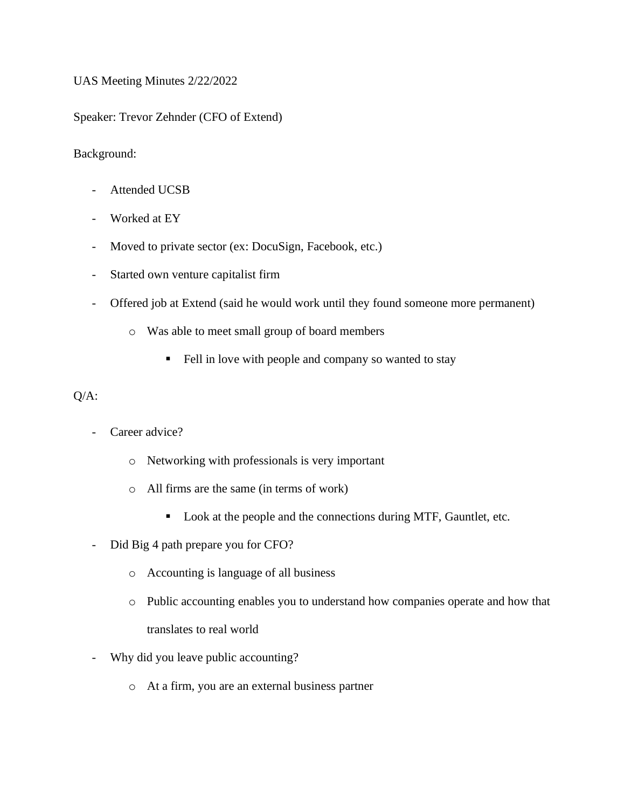UAS Meeting Minutes 2/22/2022

Speaker: Trevor Zehnder (CFO of Extend)

## Background:

- Attended UCSB
- Worked at EY
- Moved to private sector (ex: DocuSign, Facebook, etc.)
- Started own venture capitalist firm
- Offered job at Extend (said he would work until they found someone more permanent)
	- o Was able to meet small group of board members
		- Fell in love with people and company so wanted to stay

## Q/A:

- Career advice?
	- o Networking with professionals is very important
	- o All firms are the same (in terms of work)
		- Look at the people and the connections during MTF, Gauntlet, etc.
- Did Big 4 path prepare you for CFO?
	- o Accounting is language of all business
	- o Public accounting enables you to understand how companies operate and how that translates to real world
- Why did you leave public accounting?
	- o At a firm, you are an external business partner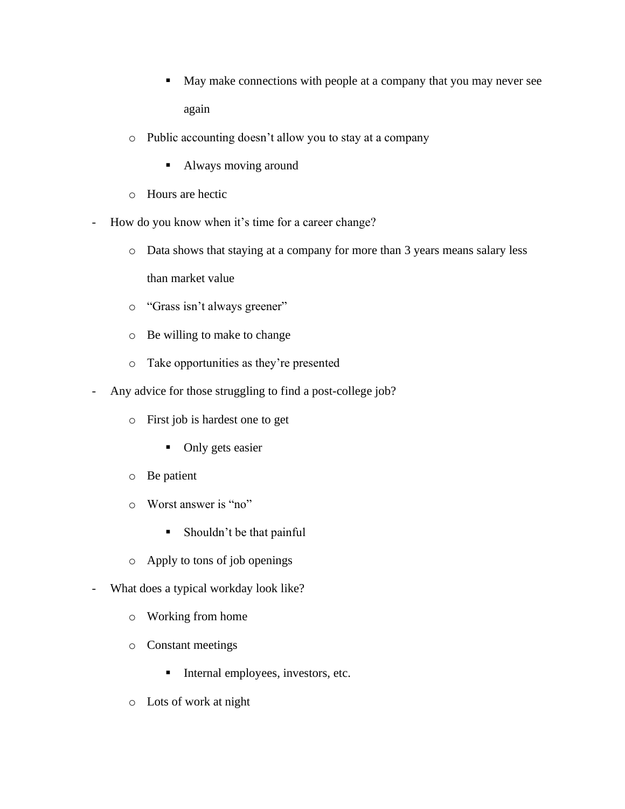- May make connections with people at a company that you may never see again
- o Public accounting doesn't allow you to stay at a company
	- Always moving around
- o Hours are hectic
- How do you know when it's time for a career change?
	- o Data shows that staying at a company for more than 3 years means salary less than market value
	- o "Grass isn't always greener"
	- o Be willing to make to change
	- o Take opportunities as they're presented
- Any advice for those struggling to find a post-college job?
	- o First job is hardest one to get
		- Only gets easier
	- o Be patient
	- o Worst answer is "no"
		- Shouldn't be that painful
	- o Apply to tons of job openings
- What does a typical workday look like?
	- o Working from home
	- o Constant meetings
		- **Internal employees, investors, etc.**
	- o Lots of work at night